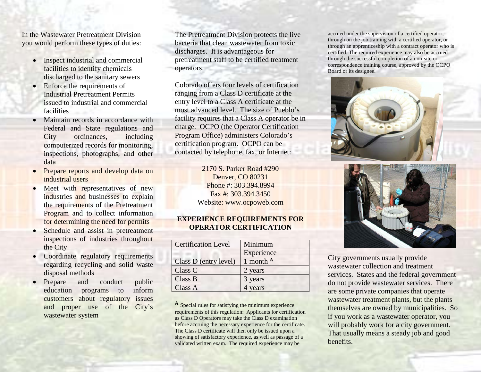In the Wastewater Pretreatment Division you would perform these types of duties:

- Inspect industrial and commercial facilities to identify chemicals discharged to the sanitary sewers
- Enforce the requirements of Industrial Pretreatment Permits issued to industrial and commercial facilities
- Maintain records in accordance with Federal and State regulations and City ordinances, including computerized records for monitoring, inspections, photographs, and other data
- Prepare reports and develop data on industrial users
- Meet with representatives of new industries and businesses to explain the requirements of the Pretreatment Program and to collect information for determining the need for permits
- Schedule and assist in pretreatment inspections of industries throughout the City
- Coordinate regulatory requirements regarding recycling and solid waste disposal methods
- Prepare and conduct public education programs to inform customers about regulatory issues and proper use of the City's wastewater system

The Pretreatment Division protects the live bacteria that clean wastewater from toxic discharges. It is advantageous for pretreatment staff to be certified treatment operators.

Colorado offers four levels of certification ranging from a Class D certificate at the entry level to a Class A certificate at the most advanced level. The size of Pueblo's facility requires that a Class A operator be in charge. OCPO (the Operator Certification Program Office) administers Colorado's certification program. OCPO can be contacted by telephone, fax, or Internet:

> 2170 S. Parker Road #290 Denver, CO 80231 Phone #: 303.394.8994 Fax #: 303.394.3450 Website: www.ocpoweb.com

#### **EXPERIENCE REQUIREMENTS FOR OPERATOR CERTIFICATION**

| <b>Certification Level</b> | Minimum            |
|----------------------------|--------------------|
|                            | Experience         |
| Class D (entry level)      | 1 month $^{\rm A}$ |
| Class C                    | 2 years            |
| Class B                    | 3 years            |
| Class A                    | years              |

**<sup>A</sup>** Special rules for satisfying the minimum experience requirements of this regulation: Applicants for certification as Class D Operators may take the Class D examination before accruing the necessary experience for the certificate. The Class D certificate will then only be issued upon a showing of satisfactory experience, as well as passage of a validated written exam. The required experience may be

accrued under the supervision of a certified operator, through on the job training with a certified operator, or through an apprenticeship with a contract operator who is certified. The required experience may also be accrued through the successful completion of an on-site or correspondence training course, approved by the OCPO Board or its designee.





City governments usually provide wastewater collection and treatment services. States and the federal government do not provide wastewater services. There are some private companies that operate wastewater treatment plants, but the plants themselves are owned by municipalities. So if you work as a wastewater operator, you will probably work for a city government. That usually means a steady job and good benefits.